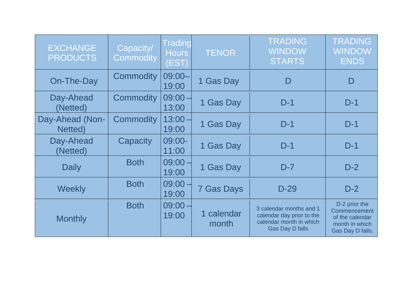| <b>EXCHANGE</b><br><b>PRODUCTS</b> | Capacity/<br><b>Commodity</b> | <b>Trading</b><br><b>Hours</b><br>(EST) | <b>TENOR</b>        | <b>TRADING</b><br><b>WINDOW</b><br><b>STARTS</b>                                                          | <b>TRADING</b><br><b>WINDOW</b><br><b>ENDS</b>                                         |
|------------------------------------|-------------------------------|-----------------------------------------|---------------------|-----------------------------------------------------------------------------------------------------------|----------------------------------------------------------------------------------------|
| On-The-Day                         | <b>Commodity</b>              | $09:00 -$<br>19:00                      | 1 Gas Day           | D                                                                                                         | D                                                                                      |
| Day-Ahead<br>(Netted)              | <b>Commodity</b>              | $09:00 -$<br>13:00                      | 1 Gas Day           | $D-1$                                                                                                     | $D-1$                                                                                  |
| Day-Ahead (Non-<br>Netted)         | <b>Commodity</b>              | $13:00 -$<br>19:00                      | 1 Gas Day           | $D-1$                                                                                                     | $D-1$                                                                                  |
| Day-Ahead<br>(Netted)              | Capacity                      | 09:00-<br>11:00                         | 1 Gas Day           | $D-1$                                                                                                     | $D-1$                                                                                  |
| Daily                              | <b>Both</b>                   | $09:00 -$<br>19:00                      | 1 Gas Day           | $D-7$                                                                                                     | $D-2$                                                                                  |
| Weekly                             | <b>Both</b>                   | 09:00<br>19:00                          | <b>7 Gas Days</b>   | $D-29$                                                                                                    | $D-2$                                                                                  |
| <b>Monthly</b>                     | <b>Both</b>                   | $09:00 -$<br>19:00                      | 1 calendar<br>month | 3 calendar months and 1<br>calendar day prior to the<br>calendar month in which<br><b>Gas Day D falls</b> | D-2 prior the<br>Commencement<br>of the calendar<br>month in which<br>Gas Day D falls. |